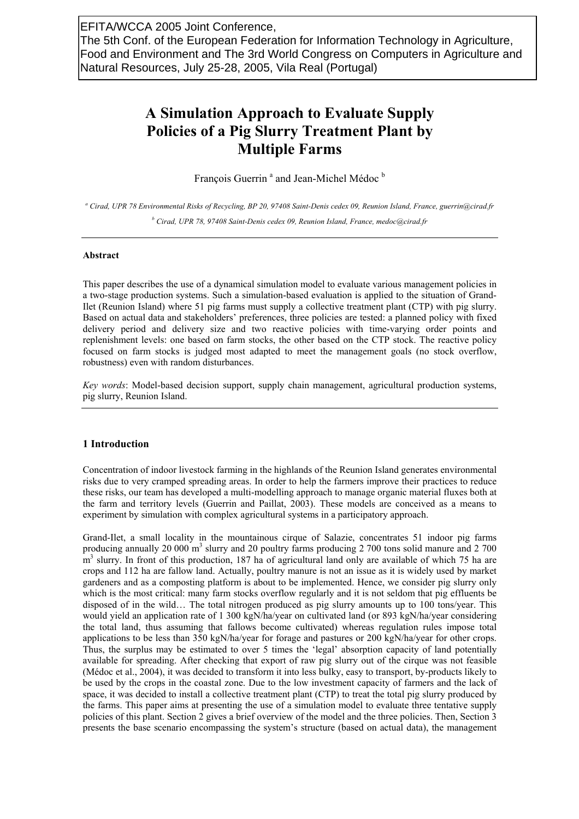# **A Simulation Approach to Evaluate Supply Policies of a Pig Slurry Treatment Plant by Multiple Farms**

François Guerrin<sup>a</sup> and Jean-Michel Médoc<sup>b</sup>

*a Cirad, UPR 78 Environmental Risks of Recycling, BP 20, 97408 Saint-Denis cedex 09, Reunion Island, France, guerrin@cirad.fr*  <sup>*b*</sup> Cirad, UPR 78, 97408 Saint-Denis cedex 09, Reunion Island, France, medoc@cirad.fr

## **Abstract**

This paper describes the use of a dynamical simulation model to evaluate various management policies in a two-stage production systems. Such a simulation-based evaluation is applied to the situation of Grand-Ilet (Reunion Island) where 51 pig farms must supply a collective treatment plant (CTP) with pig slurry. Based on actual data and stakeholders' preferences, three policies are tested: a planned policy with fixed delivery period and delivery size and two reactive policies with time-varying order points and replenishment levels: one based on farm stocks, the other based on the CTP stock. The reactive policy focused on farm stocks is judged most adapted to meet the management goals (no stock overflow, robustness) even with random disturbances.

*Key words*: Model-based decision support, supply chain management, agricultural production systems, pig slurry, Reunion Island.

# **1 Introduction**

Concentration of indoor livestock farming in the highlands of the Reunion Island generates environmental risks due to very cramped spreading areas. In order to help the farmers improve their practices to reduce these risks, our team has developed a multi-modelling approach to manage organic material fluxes both at the farm and territory levels (Guerrin and Paillat, 2003). These models are conceived as a means to experiment by simulation with complex agricultural systems in a participatory approach.

Grand-Ilet, a small locality in the mountainous cirque of Salazie, concentrates 51 indoor pig farms producing annually 20 000 m<sup>3</sup> slurry and 20 poultry farms producing 2 700 tons solid manure and 2 700 m<sup>3</sup> slurry. In front of this production, 187 ha of agricultural land only are available of which 75 ha are crops and 112 ha are fallow land. Actually, poultry manure is not an issue as it is widely used by market gardeners and as a composting platform is about to be implemented. Hence, we consider pig slurry only which is the most critical: many farm stocks overflow regularly and it is not seldom that pig effluents be disposed of in the wild… The total nitrogen produced as pig slurry amounts up to 100 tons/year. This would yield an application rate of 1 300 kgN/ha/year on cultivated land (or 893 kgN/ha/year considering the total land, thus assuming that fallows become cultivated) whereas regulation rules impose total applications to be less than 350 kgN/ha/year for forage and pastures or 200 kgN/ha/year for other crops. Thus, the surplus may be estimated to over 5 times the 'legal' absorption capacity of land potentially available for spreading. After checking that export of raw pig slurry out of the cirque was not feasible (Médoc et al., 2004), it was decided to transform it into less bulky, easy to transport, by-products likely to be used by the crops in the coastal zone. Due to the low investment capacity of farmers and the lack of space, it was decided to install a collective treatment plant (CTP) to treat the total pig slurry produced by the farms. This paper aims at presenting the use of a simulation model to evaluate three tentative supply policies of this plant. Section 2 gives a brief overview of the model and the three policies. Then, Section 3 presents the base scenario encompassing the system's structure (based on actual data), the management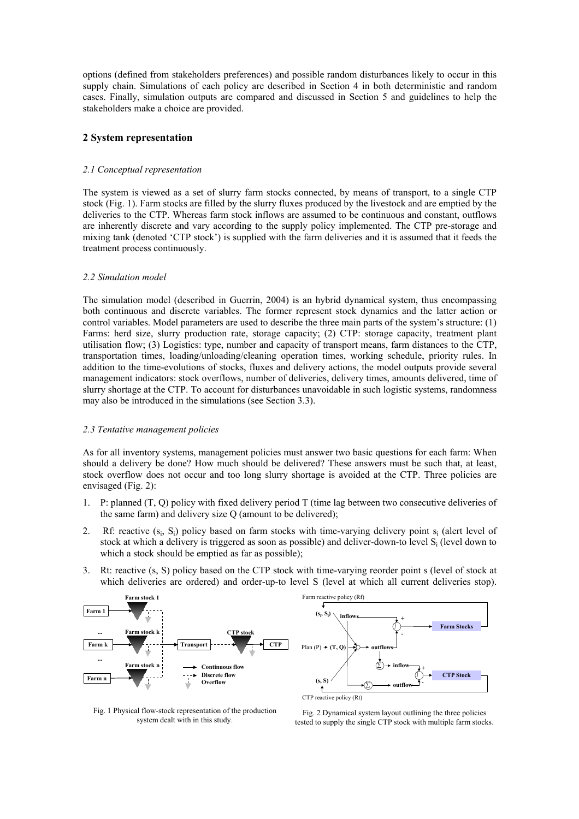options (defined from stakeholders preferences) and possible random disturbances likely to occur in this supply chain. Simulations of each policy are described in Section 4 in both deterministic and random cases. Finally, simulation outputs are compared and discussed in Section 5 and guidelines to help the stakeholders make a choice are provided.

# **2 System representation**

## *2.1 Conceptual representation*

The system is viewed as a set of slurry farm stocks connected, by means of transport, to a single CTP stock (Fig. 1). Farm stocks are filled by the slurry fluxes produced by the livestock and are emptied by the deliveries to the CTP. Whereas farm stock inflows are assumed to be continuous and constant, outflows are inherently discrete and vary according to the supply policy implemented. The CTP pre-storage and mixing tank (denoted 'CTP stock') is supplied with the farm deliveries and it is assumed that it feeds the treatment process continuously.

## *2.2 Simulation model*

The simulation model (described in Guerrin, 2004) is an hybrid dynamical system, thus encompassing both continuous and discrete variables. The former represent stock dynamics and the latter action or control variables. Model parameters are used to describe the three main parts of the system's structure: (1) Farms: herd size, slurry production rate, storage capacity; (2) CTP: storage capacity, treatment plant utilisation flow; (3) Logistics: type, number and capacity of transport means, farm distances to the CTP, transportation times, loading/unloading/cleaning operation times, working schedule, priority rules. In addition to the time-evolutions of stocks, fluxes and delivery actions, the model outputs provide several management indicators: stock overflows, number of deliveries, delivery times, amounts delivered, time of slurry shortage at the CTP. To account for disturbances unavoidable in such logistic systems, randomness may also be introduced in the simulations (see Section 3.3).

# *2.3 Tentative management policies*

As for all inventory systems, management policies must answer two basic questions for each farm: When should a delivery be done? How much should be delivered? These answers must be such that, at least, stock overflow does not occur and too long slurry shortage is avoided at the CTP. Three policies are envisaged (Fig. 2):

- 1. P: planned (T, Q) policy with fixed delivery period T (time lag between two consecutive deliveries of the same farm) and delivery size Q (amount to be delivered);
- 2. Rf: reactive  $(s_i, S_i)$  policy based on farm stocks with time-varying delivery point  $s_i$  (alert level of stock at which a delivery is triggered as soon as possible) and deliver-down-to level S<sub>i</sub> (level down to which a stock should be emptied as far as possible);
- 3. Rt: reactive (s, S) policy based on the CTP stock with time-varying reorder point s (level of stock at which deliveries are ordered) and order-up-to level S (level at which all current deliveries stop).



Fig. 1 Physical flow-stock representation of the production system dealt with in this study.

Fig. 2 Dynamical system layout outlining the three policies tested to supply the single CTP stock with multiple farm stocks.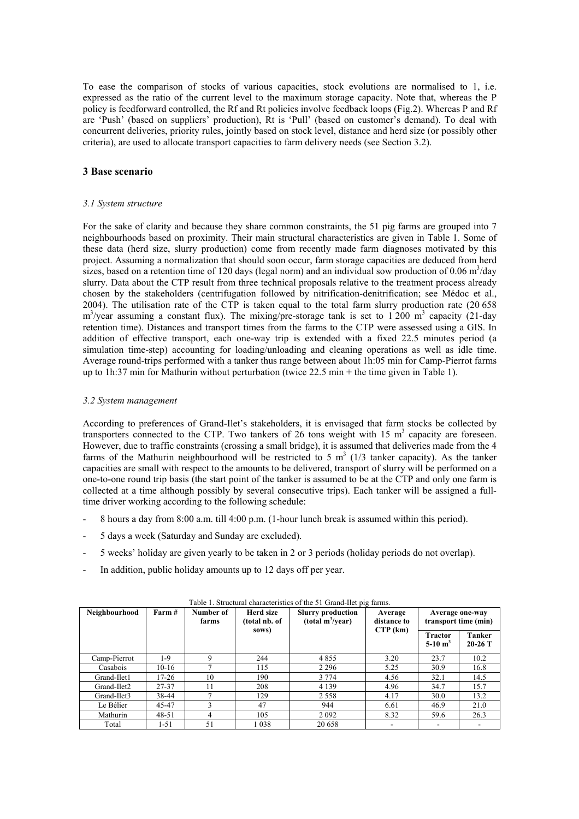To ease the comparison of stocks of various capacities, stock evolutions are normalised to 1, i.e. expressed as the ratio of the current level to the maximum storage capacity. Note that, whereas the P policy is feedforward controlled, the Rf and Rt policies involve feedback loops (Fig.2). Whereas P and Rf are 'Push' (based on suppliers' production), Rt is 'Pull' (based on customer's demand). To deal with concurrent deliveries, priority rules, jointly based on stock level, distance and herd size (or possibly other criteria), are used to allocate transport capacities to farm delivery needs (see Section 3.2).

# **3 Base scenario**

## *3.1 System structure*

For the sake of clarity and because they share common constraints, the 51 pig farms are grouped into 7 neighbourhoods based on proximity. Their main structural characteristics are given in Table 1. Some of these data (herd size, slurry production) come from recently made farm diagnoses motivated by this project. Assuming a normalization that should soon occur, farm storage capacities are deduced from herd sizes, based on a retention time of 120 days (legal norm) and an individual sow production of 0.06  $\text{m}^3/\text{day}$ slurry. Data about the CTP result from three technical proposals relative to the treatment process already chosen by the stakeholders (centrifugation followed by nitrification-denitrification; see Médoc et al., 2004). The utilisation rate of the CTP is taken equal to the total farm slurry production rate (20 658  $\text{m}^3$ /year assuming a constant flux). The mixing/pre-storage tank is set to 1 200 m<sup>3</sup> capacity (21-day retention time). Distances and transport times from the farms to the CTP were assessed using a GIS. In addition of effective transport, each one-way trip is extended with a fixed 22.5 minutes period (a simulation time-step) accounting for loading/unloading and cleaning operations as well as idle time. Average round-trips performed with a tanker thus range between about 1h:05 min for Camp-Pierrot farms up to 1h:37 min for Mathurin without perturbation (twice 22.5 min + the time given in Table 1).

## *3.2 System management*

According to preferences of Grand-Ilet's stakeholders, it is envisaged that farm stocks be collected by transporters connected to the CTP. Two tankers of 26 tons weight with 15  $m<sup>3</sup>$  capacity are foreseen. However, due to traffic constraints (crossing a small bridge), it is assumed that deliveries made from the 4 farms of the Mathurin neighbourhood will be restricted to 5  $m<sup>3</sup>$  (1/3 tanker capacity). As the tanker capacities are small with respect to the amounts to be delivered, transport of slurry will be performed on a one-to-one round trip basis (the start point of the tanker is assumed to be at the CTP and only one farm is collected at a time although possibly by several consecutive trips). Each tanker will be assigned a fulltime driver working according to the following schedule:

- 8 hours a day from 8:00 a.m. till 4:00 p.m. (1-hour lunch break is assumed within this period).
- 5 days a week (Saturday and Sunday are excluded).
- 5 weeks' holiday are given yearly to be taken in 2 or 3 periods (holiday periods do not overlap).
- In addition, public holiday amounts up to 12 days off per year.

| Neighbourhood | Farm #   | Number of<br>farms | Herd size<br>(total nb. of<br>sows) | <b>Slurry production</b><br>(total m <sup>3</sup> /year) | Average<br>distance to<br>$CTP$ (km) | Average one-way<br>transport time (min) |                            |
|---------------|----------|--------------------|-------------------------------------|----------------------------------------------------------|--------------------------------------|-----------------------------------------|----------------------------|
|               |          |                    |                                     |                                                          |                                      | <b>Tractor</b><br>5-10 $m^3$            | <b>Tanker</b><br>$20-26$ T |
| Camp-Pierrot  | $1-9$    | 9                  | 244                                 | 4855                                                     | 3.20                                 | 23.7                                    | 10.2                       |
| Casabois      | $10-16$  |                    | 115                                 | 2 2 9 6                                                  | 5.25                                 | 30.9                                    | 16.8                       |
| Grand-Ilet1   | 17-26    | 10                 | 190                                 | 3 7 7 4                                                  | 4.56                                 | 32.1                                    | 14.5                       |
| Grand-Ilet2   | 27-37    | 11                 | 208                                 | 4 1 3 9                                                  | 4.96                                 | 34.7                                    | 15.7                       |
| Grand-Ilet3   | 38-44    |                    | 129                                 | 2 5 5 8                                                  | 4.17                                 | 30.0                                    | 13.2                       |
| Le Bélier     | 45-47    |                    | 47                                  | 944                                                      | 6.61                                 | 46.9                                    | 21.0                       |
| Mathurin      | 48-51    | 4                  | 105                                 | 2 0 9 2                                                  | 8.32                                 | 59.6                                    | 26.3                       |
| Total         | $1 - 51$ | 51                 | 1038                                | 20 658                                                   |                                      |                                         |                            |

Table 1. Structural characteristics of the 51 Grand-Ilet pig farms.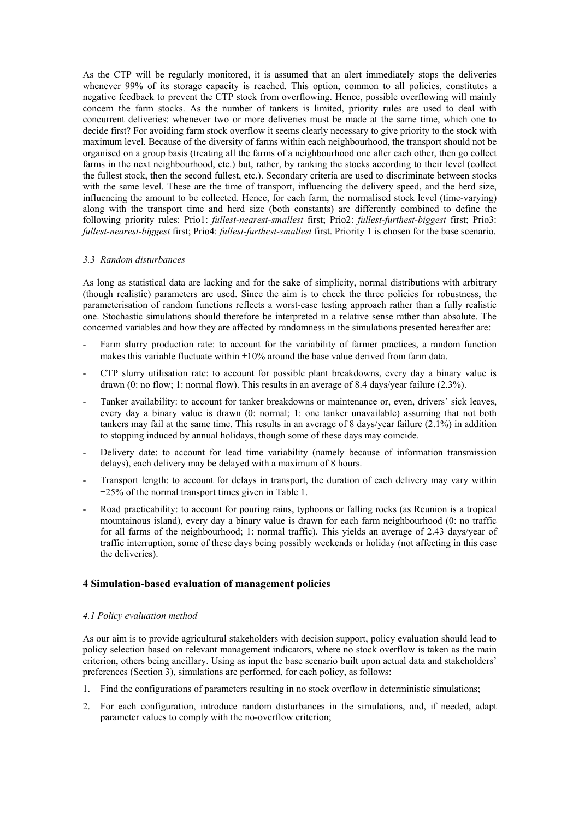As the CTP will be regularly monitored, it is assumed that an alert immediately stops the deliveries whenever 99% of its storage capacity is reached. This option, common to all policies, constitutes a negative feedback to prevent the CTP stock from overflowing. Hence, possible overflowing will mainly concern the farm stocks. As the number of tankers is limited, priority rules are used to deal with concurrent deliveries: whenever two or more deliveries must be made at the same time, which one to decide first? For avoiding farm stock overflow it seems clearly necessary to give priority to the stock with maximum level. Because of the diversity of farms within each neighbourhood, the transport should not be organised on a group basis (treating all the farms of a neighbourhood one after each other, then go collect farms in the next neighbourhood, etc.) but, rather, by ranking the stocks according to their level (collect the fullest stock, then the second fullest, etc.). Secondary criteria are used to discriminate between stocks with the same level. These are the time of transport, influencing the delivery speed, and the herd size, influencing the amount to be collected. Hence, for each farm, the normalised stock level (time-varying) along with the transport time and herd size (both constants) are differently combined to define the following priority rules: Prio1: *fullest-nearest-smallest* first; Prio2: *fullest-furthest-biggest* first; Prio3: *fullest-nearest-biggest* first; Prio4: *fullest-furthest-smallest* first. Priority 1 is chosen for the base scenario.

## *3.3 Random disturbances*

As long as statistical data are lacking and for the sake of simplicity, normal distributions with arbitrary (though realistic) parameters are used. Since the aim is to check the three policies for robustness, the parameterisation of random functions reflects a worst-case testing approach rather than a fully realistic one. Stochastic simulations should therefore be interpreted in a relative sense rather than absolute. The concerned variables and how they are affected by randomness in the simulations presented hereafter are:

- Farm slurry production rate: to account for the variability of farmer practices, a random function makes this variable fluctuate within  $\pm 10\%$  around the base value derived from farm data.
- CTP slurry utilisation rate: to account for possible plant breakdowns, every day a binary value is drawn (0: no flow; 1: normal flow). This results in an average of 8.4 days/year failure (2.3%).
- Tanker availability: to account for tanker breakdowns or maintenance or, even, drivers' sick leaves, every day a binary value is drawn (0: normal; 1: one tanker unavailable) assuming that not both tankers may fail at the same time. This results in an average of 8 days/year failure (2.1%) in addition to stopping induced by annual holidays, though some of these days may coincide.
- Delivery date: to account for lead time variability (namely because of information transmission delays), each delivery may be delayed with a maximum of 8 hours.
- Transport length: to account for delays in transport, the duration of each delivery may vary within ±25% of the normal transport times given in Table 1.
- Road practicability: to account for pouring rains, typhoons or falling rocks (as Reunion is a tropical mountainous island), every day a binary value is drawn for each farm neighbourhood (0: no traffic for all farms of the neighbourhood; 1: normal traffic). This yields an average of 2.43 days/year of traffic interruption, some of these days being possibly weekends or holiday (not affecting in this case the deliveries).

# **4 Simulation-based evaluation of management policies**

# *4.1 Policy evaluation method*

As our aim is to provide agricultural stakeholders with decision support, policy evaluation should lead to policy selection based on relevant management indicators, where no stock overflow is taken as the main criterion, others being ancillary. Using as input the base scenario built upon actual data and stakeholders' preferences (Section 3), simulations are performed, for each policy, as follows:

- 1. Find the configurations of parameters resulting in no stock overflow in deterministic simulations;
- 2. For each configuration, introduce random disturbances in the simulations, and, if needed, adapt parameter values to comply with the no-overflow criterion;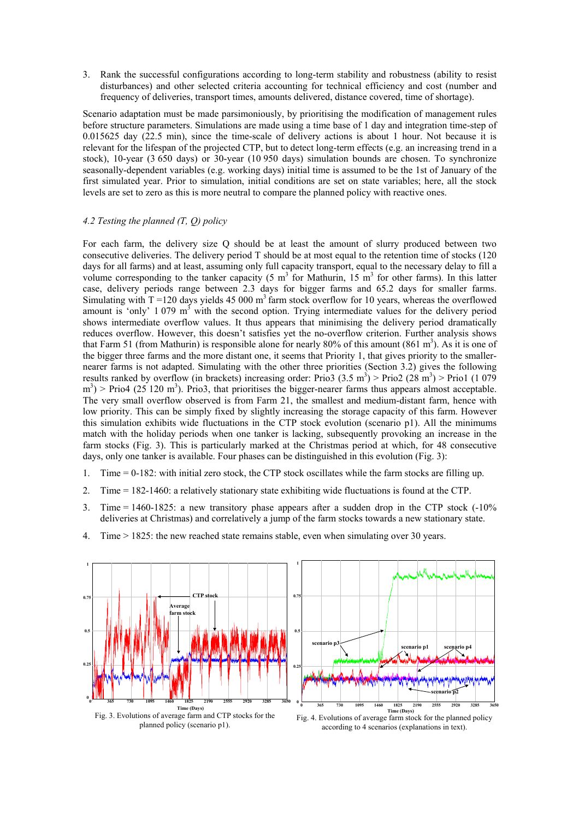3. Rank the successful configurations according to long-term stability and robustness (ability to resist disturbances) and other selected criteria accounting for technical efficiency and cost (number and frequency of deliveries, transport times, amounts delivered, distance covered, time of shortage).

Scenario adaptation must be made parsimoniously, by prioritising the modification of management rules before structure parameters. Simulations are made using a time base of 1 day and integration time-step of 0.015625 day (22.5 min), since the time-scale of delivery actions is about 1 hour. Not because it is relevant for the lifespan of the projected CTP, but to detect long-term effects (e.g. an increasing trend in a stock), 10-year (3 650 days) or 30-year (10 950 days) simulation bounds are chosen. To synchronize seasonally-dependent variables (e.g. working days) initial time is assumed to be the 1st of January of the first simulated year. Prior to simulation, initial conditions are set on state variables; here, all the stock levels are set to zero as this is more neutral to compare the planned policy with reactive ones.

# *4.2 Testing the planned (T, Q) policy*

For each farm, the delivery size Q should be at least the amount of slurry produced between two consecutive deliveries. The delivery period T should be at most equal to the retention time of stocks (120 days for all farms) and at least, assuming only full capacity transport, equal to the necessary delay to fill a volume corresponding to the tanker capacity (5  $m<sup>3</sup>$  for Mathurin, 15  $m<sup>3</sup>$  for other farms). In this latter case, delivery periods range between 2.3 days for bigger farms and 65.2 days for smaller farms. Simulating with  $T = 120$  days yields 45 000 m<sup>3</sup> farm stock overflow for 10 years, whereas the overflowed amount is 'only' 1 079 m<sup>3</sup> with the second option. Trying intermediate values for the delivery period shows intermediate overflow values. It thus appears that minimising the delivery period dramatically reduces overflow. However, this doesn't satisfies yet the no-overflow criterion. Further analysis shows that Farm 51 (from Mathurin) is responsible alone for nearly 80% of this amount  $(861 \text{ m}^3)$ . As it is one of the bigger three farms and the more distant one, it seems that Priority 1, that gives priority to the smallernearer farms is not adapted. Simulating with the other three priorities (Section 3.2) gives the following results ranked by overflow (in brackets) increasing order: Prio3  $(3.5 \text{ m}^3)$  > Prio2  $(28 \text{ m}^3)$  > Prio1  $(1.079)$  $\text{m}^3$ ) > Prio4 (25 120 m<sup>3</sup>). Prio3, that prioritises the bigger-nearer farms thus appears almost acceptable. The very small overflow observed is from Farm 21, the smallest and medium-distant farm, hence with low priority. This can be simply fixed by slightly increasing the storage capacity of this farm. However this simulation exhibits wide fluctuations in the CTP stock evolution (scenario p1). All the minimums match with the holiday periods when one tanker is lacking, subsequently provoking an increase in the farm stocks (Fig. 3). This is particularly marked at the Christmas period at which, for 48 consecutive days, only one tanker is available. Four phases can be distinguished in this evolution (Fig. 3):

- 1. Time = 0-182: with initial zero stock, the CTP stock oscillates while the farm stocks are filling up.
- 2. Time = 182-1460: a relatively stationary state exhibiting wide fluctuations is found at the CTP.
- 3. Time =  $1460-1825$ : a new transitory phase appears after a sudden drop in the CTP stock  $(-10\%$ deliveries at Christmas) and correlatively a jump of the farm stocks towards a new stationary state.
- 4. Time > 1825: the new reached state remains stable, even when simulating over 30 years.



planned policy (scenario p1).

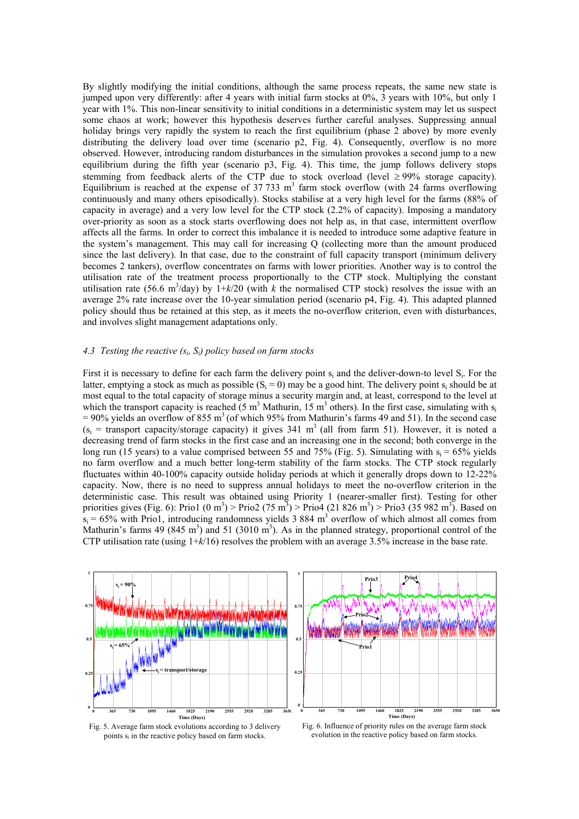By slightly modifying the initial conditions, although the same process repeats, the same new state is jumped upon very differently: after 4 years with initial farm stocks at 0%, 3 years with 10%, but only 1 year with 1%. This non-linear sensitivity to initial conditions in a deterministic system may let us suspect some chaos at work; however this hypothesis deserves further careful analyses. Suppressing annual holiday brings very rapidly the system to reach the first equilibrium (phase 2 above) by more evenly distributing the delivery load over time (scenario p2, Fig. 4). Consequently, overflow is no more observed. However, introducing random disturbances in the simulation provokes a second jump to a new equilibrium during the fifth year (scenario p3, Fig. 4). This time, the jump follows delivery stops stemming from feedback alerts of the CTP due to stock overload (level  $\geq$  99% storage capacity). Equilibrium is reached at the expense of 37 733  $m<sup>3</sup>$  farm stock overflow (with 24 farms overflowing continuously and many others episodically). Stocks stabilise at a very high level for the farms (88% of capacity in average) and a very low level for the CTP stock (2.2% of capacity). Imposing a mandatory over-priority as soon as a stock starts overflowing does not help as, in that case, intermittent overflow affects all the farms. In order to correct this imbalance it is needed to introduce some adaptive feature in the system's management. This may call for increasing Q (collecting more than the amount produced since the last delivery). In that case, due to the constraint of full capacity transport (minimum delivery becomes 2 tankers), overflow concentrates on farms with lower priorities. Another way is to control the utilisation rate of the treatment process proportionally to the CTP stock. Multiplying the constant utilisation rate (56.6 m<sup>3</sup>/day) by  $1+k/20$  (with *k* the normalised CTP stock) resolves the issue with an average 2% rate increase over the 10-year simulation period (scenario p4, Fig. 4). This adapted planned policy should thus be retained at this step, as it meets the no-overflow criterion, even with disturbances, and involves slight management adaptations only.

# *4.3 Testing the reactive (si, Si) policy based on farm stocks*

First it is necessary to define for each farm the delivery point  $s_i$  and the deliver-down-to level  $S_i$ . For the latter, emptying a stock as much as possible  $(S_i = 0)$  may be a good hint. The delivery point s<sub>i</sub> should be at most equal to the total capacity of storage minus a security margin and, at least, correspond to the level at which the transport capacity is reached  $(5 \text{ m}^3 \text{ Mathurin}, 15 \text{ m}^3 \text{ others})$ . In the first case, simulating with s<sub>i</sub>  $= 90\%$  yields an overflow of 855 m<sup>3</sup> (of which 95% from Mathurin's farms 49 and 51). In the second case  $(s_i =$  transport capacity/storage capacity) it gives 341 m<sup>3</sup> (all from farm 51). However, it is noted a decreasing trend of farm stocks in the first case and an increasing one in the second; both converge in the long run (15 years) to a value comprised between 55 and 75% (Fig. 5). Simulating with  $s_i = 65\%$  yields no farm overflow and a much better long-term stability of the farm stocks. The CTP stock regularly fluctuates within 40-100% capacity outside holiday periods at which it generally drops down to 12-22% capacity. Now, there is no need to suppress annual holidays to meet the no-overflow criterion in the deterministic case. This result was obtained using Priority 1 (nearer-smaller first). Testing for other priorities gives (Fig. 6): Prio1 (0 m<sup>3</sup>) > Prio2 (75 m<sup>3</sup>) > Prio4 (21 826 m<sup>3</sup>) > Prio3 (35 982 m<sup>3</sup>). Based on  $s_i = 65\%$  with Prio1, introducing randomness yields 3 884 m<sup>3</sup> overflow of which almost all comes from Mathurin's farms 49 (845 m<sup>3</sup>) and 51 (3010 m<sup>3</sup>). As in the planned strategy, proportional control of the CTP utilisation rate (using 1+*k*/16) resolves the problem with an average 3.5% increase in the base rate.





Fig. 6. Influence of priority rules on the average farm stock evolution in the reactive policy based on farm stocks.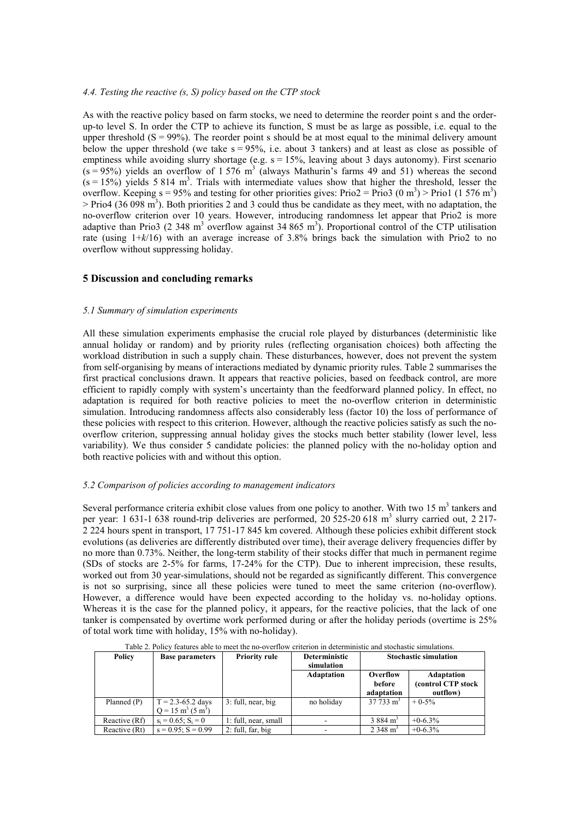## *4.4. Testing the reactive (s, S) policy based on the CTP stock*

As with the reactive policy based on farm stocks, we need to determine the reorder point s and the orderup-to level S. In order the CTP to achieve its function, S must be as large as possible, i.e. equal to the upper threshold  $(S = 99\%)$ . The reorder point s should be at most equal to the minimal delivery amount below the upper threshold (we take  $s = 95\%$ , i.e. about 3 tankers) and at least as close as possible of emptiness while avoiding slurry shortage (e.g.  $s = 15%$ , leaving about 3 days autonomy). First scenario  $(s = 95%)$  yields an overflow of 1 576 m<sup>3</sup> (always Mathurin's farms 49 and 51) whereas the second  $(s = 15%)$  yields 5 814 m<sup>3</sup>. Trials with intermediate values show that higher the threshold, lesser the overflow. Keeping  $s = 95\%$  and testing for other priorities gives: Prio2 = Prio3 (0 m<sup>3</sup>) > Prio1 (1 576 m<sup>3</sup>)  $>$  Prio4 (36 098 m<sup>3</sup>). Both priorities 2 and 3 could thus be candidate as they meet, with no adaptation, the no-overflow criterion over 10 years. However, introducing randomness let appear that Prio2 is more adaptive than Prio3 (2 348 m<sup>3</sup> overflow against 34 865 m<sup>3</sup>). Proportional control of the CTP utilisation rate (using 1+*k*/16) with an average increase of 3.8% brings back the simulation with Prio2 to no overflow without suppressing holiday.

# **5 Discussion and concluding remarks**

#### *5.1 Summary of simulation experiments*

All these simulation experiments emphasise the crucial role played by disturbances (deterministic like annual holiday or random) and by priority rules (reflecting organisation choices) both affecting the workload distribution in such a supply chain. These disturbances, however, does not prevent the system from self-organising by means of interactions mediated by dynamic priority rules. Table 2 summarises the first practical conclusions drawn. It appears that reactive policies, based on feedback control, are more efficient to rapidly comply with system's uncertainty than the feedforward planned policy. In effect, no adaptation is required for both reactive policies to meet the no-overflow criterion in deterministic simulation. Introducing randomness affects also considerably less (factor 10) the loss of performance of these policies with respect to this criterion. However, although the reactive policies satisfy as such the nooverflow criterion, suppressing annual holiday gives the stocks much better stability (lower level, less variability). We thus consider 5 candidate policies: the planned policy with the no-holiday option and both reactive policies with and without this option.

## *5.2 Comparison of policies according to management indicators*

Several performance criteria exhibit close values from one policy to another. With two  $15 \text{ m}^3$  tankers and per year: 1 631-1 638 round-trip deliveries are performed, 20 525-20 618 m<sup>3</sup> slurry carried out, 2 217-2 224 hours spent in transport, 17 751-17 845 km covered. Although these policies exhibit different stock evolutions (as deliveries are differently distributed over time), their average delivery frequencies differ by no more than 0.73%. Neither, the long-term stability of their stocks differ that much in permanent regime (SDs of stocks are 2-5% for farms, 17-24% for the CTP). Due to inherent imprecision, these results, worked out from 30 year-simulations, should not be regarded as significantly different. This convergence is not so surprising, since all these policies were tuned to meet the same criterion (no-overflow). However, a difference would have been expected according to the holiday vs. no-holiday options. Whereas it is the case for the planned policy, it appears, for the reactive policies, that the lack of one tanker is compensated by overtime work performed during or after the holiday periods (overtime is 25% of total work time with holiday, 15% with no-holiday).

| Table 2. Policy features able to meet the no-overflow criterion in deterministic and stochastic simulations. |                                                               |                      |                                    |                                  |                                              |  |  |  |  |
|--------------------------------------------------------------------------------------------------------------|---------------------------------------------------------------|----------------------|------------------------------------|----------------------------------|----------------------------------------------|--|--|--|--|
| <b>Policy</b>                                                                                                | <b>Base parameters</b>                                        | <b>Priority rule</b> | <b>Deterministic</b><br>simulation | <b>Stochastic simulation</b>     |                                              |  |  |  |  |
|                                                                                                              |                                                               |                      | Adaptation                         | Overflow<br>before<br>adaptation | Adaptation<br>(control CTP stock<br>outflow) |  |  |  |  |
| Planned (P)                                                                                                  | $T = 2.3 - 65.2$ days<br>$Q = 15 \text{ m}^3 (5 \text{ m}^3)$ | 3: full, near, big   | no holiday                         | $37733 \text{ m}^3$              | $+0.5\%$                                     |  |  |  |  |
| Reactive (Rf)                                                                                                | $s_i = 0.65$ ; $S_i = 0$                                      | 1: full, near, small |                                    | $3884 \text{ m}^3$               | $+0.63%$                                     |  |  |  |  |
| Reactive (Rt)                                                                                                | $s = 0.95$ ; $S = 0.99$                                       | $2$ : full, far, big |                                    | $2.348 \text{ m}^3$              | $+0.63\%$                                    |  |  |  |  |